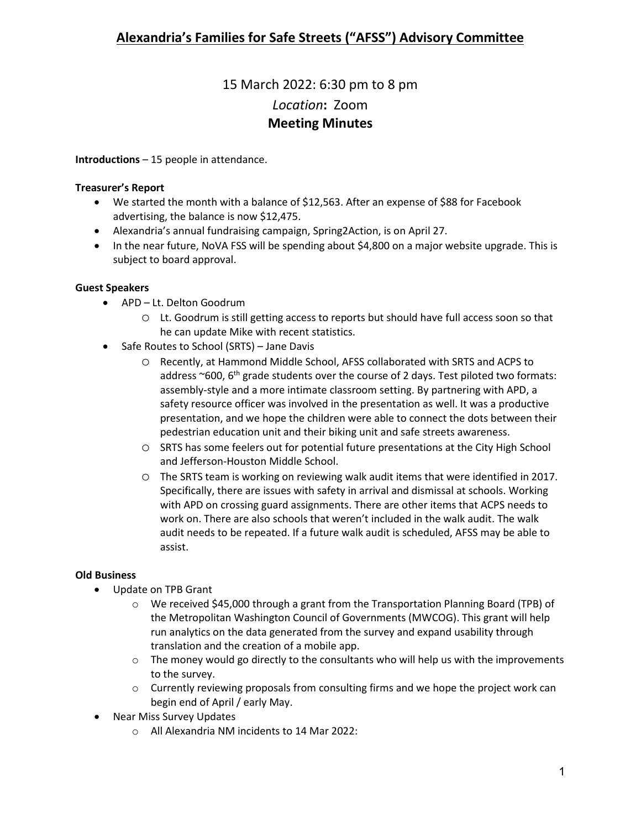# 15 March 2022: 6:30 pm to 8 pm *Location***:** Zoom **Meeting Minutes**

**Introductions** – 15 people in attendance.

#### **Treasurer's Report**

- We started the month with a balance of \$12,563. After an expense of \$88 for Facebook advertising, the balance is now \$12,475.
- Alexandria's annual fundraising campaign, Spring2Action, is on April 27.
- In the near future, NoVA FSS will be spending about \$4,800 on a major website upgrade. This is subject to board approval.

#### **Guest Speakers**

- APD Lt. Delton Goodrum
	- o Lt. Goodrum is still getting access to reports but should have full access soon so that he can update Mike with recent statistics.
- Safe Routes to School (SRTS) Jane Davis
	- o Recently, at Hammond Middle School, AFSS collaborated with SRTS and ACPS to address  $\sim$  600, 6<sup>th</sup> grade students over the course of 2 days. Test piloted two formats: assembly-style and a more intimate classroom setting. By partnering with APD, a safety resource officer was involved in the presentation as well. It was a productive presentation, and we hope the children were able to connect the dots between their pedestrian education unit and their biking unit and safe streets awareness.
	- o SRTS has some feelers out for potential future presentations at the City High School and Jefferson-Houston Middle School.
	- o The SRTS team is working on reviewing walk audit items that were identified in 2017. Specifically, there are issues with safety in arrival and dismissal at schools. Working with APD on crossing guard assignments. There are other items that ACPS needs to work on. There are also schools that weren't included in the walk audit. The walk audit needs to be repeated. If a future walk audit is scheduled, AFSS may be able to assist.

## **Old Business**

- Update on TPB Grant
	- o We received \$45,000 through a grant from the Transportation Planning Board (TPB) of the Metropolitan Washington Council of Governments (MWCOG). This grant will help run analytics on the data generated from the survey and expand usability through translation and the creation of a mobile app.
	- $\circ$  The money would go directly to the consultants who will help us with the improvements to the survey.
	- $\circ$  Currently reviewing proposals from consulting firms and we hope the project work can begin end of April / early May.
- Near Miss Survey Updates
	- o All Alexandria NM incidents to 14 Mar 2022: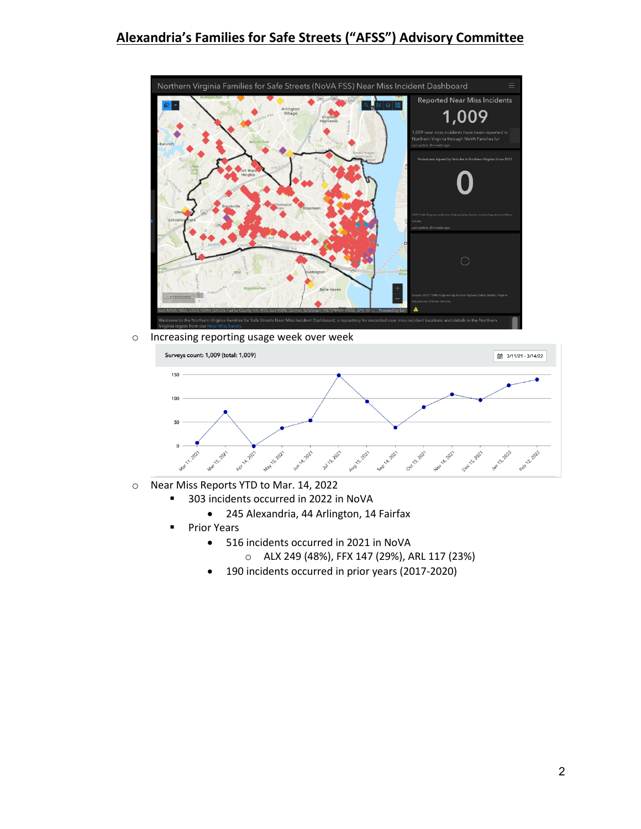## **Alexandria's Families for Safe Streets ("AFSS") Advisory Committee**



o Increasing reporting usage week over week



- o Near Miss Reports YTD to Mar. 14, 2022
	- 303 incidents occurred in 2022 in NoVA
		- 245 Alexandria, 44 Arlington, 14 Fairfax
	- **Prior Years** 
		- 516 incidents occurred in 2021 in NoVA
			- o ALX 249 (48%), FFX 147 (29%), ARL 117 (23%)
		- 190 incidents occurred in prior years (2017-2020)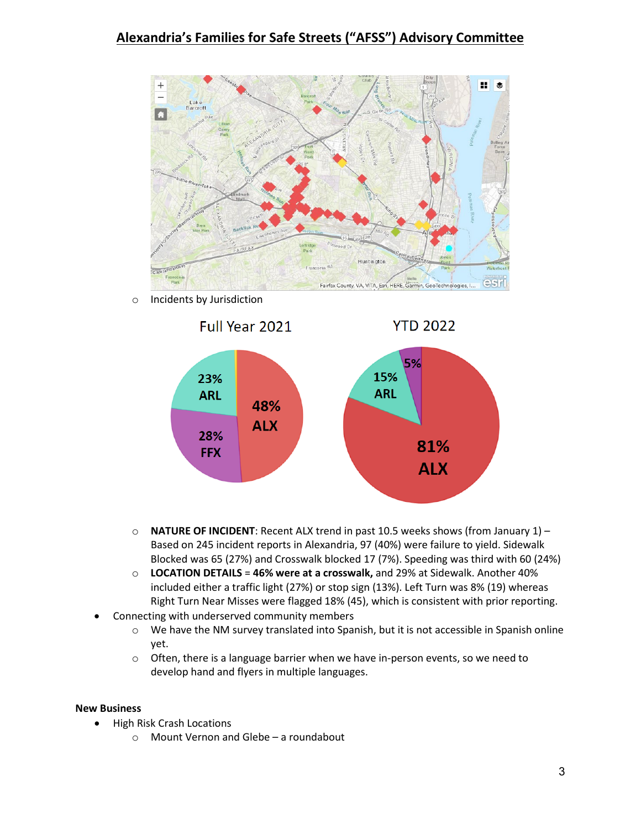## **Alexandria's Families for Safe Streets ("AFSS") Advisory Committee**



o Incidents by Jurisdiction



- o **NATURE OF INCIDENT**: Recent ALX trend in past 10.5 weeks shows (from January 1) Based on 245 incident reports in Alexandria, 97 (40%) were failure to yield. Sidewalk Blocked was 65 (27%) and Crosswalk blocked 17 (7%). Speeding was third with 60 (24%)
- o **LOCATION DETAILS** = **46% were at a crosswalk,** and 29% at Sidewalk. Another 40% included either a traffic light (27%) or stop sign (13%). Left Turn was 8% (19) whereas Right Turn Near Misses were flagged 18% (45), which is consistent with prior reporting.
- Connecting with underserved community members
	- o We have the NM survey translated into Spanish, but it is not accessible in Spanish online yet.
	- $\circ$  Often, there is a language barrier when we have in-person events, so we need to develop hand and flyers in multiple languages.

#### **New Business**

- High Risk Crash Locations
	- o Mount Vernon and Glebe a roundabout